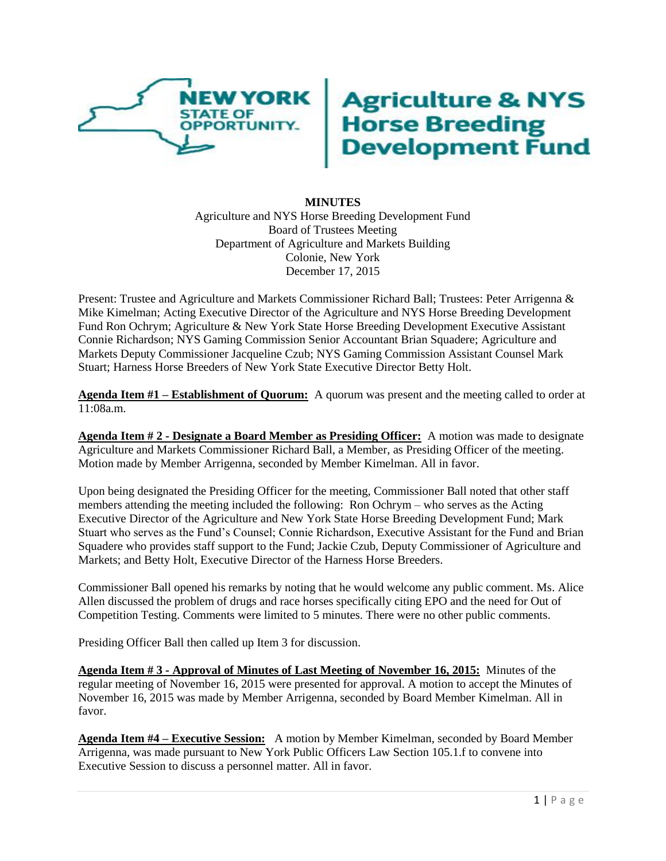

# **Agriculture & NYS<br>Horse Breeding<br>Development Fund**

## **MINUTES** Agriculture and NYS Horse Breeding Development Fund Board of Trustees Meeting Department of Agriculture and Markets Building Colonie, New York December 17, 2015

Present: Trustee and Agriculture and Markets Commissioner Richard Ball; Trustees: Peter Arrigenna & Mike Kimelman; Acting Executive Director of the Agriculture and NYS Horse Breeding Development Fund Ron Ochrym; Agriculture & New York State Horse Breeding Development Executive Assistant Connie Richardson; NYS Gaming Commission Senior Accountant Brian Squadere; Agriculture and Markets Deputy Commissioner Jacqueline Czub; NYS Gaming Commission Assistant Counsel Mark Stuart; Harness Horse Breeders of New York State Executive Director Betty Holt.

**Agenda Item #1 – Establishment of Quorum:** A quorum was present and the meeting called to order at 11:08a.m.

**Agenda Item # 2 - Designate a Board Member as Presiding Officer:** A motion was made to designate Agriculture and Markets Commissioner Richard Ball, a Member, as Presiding Officer of the meeting. Motion made by Member Arrigenna, seconded by Member Kimelman. All in favor.

Upon being designated the Presiding Officer for the meeting, Commissioner Ball noted that other staff members attending the meeting included the following: Ron Ochrym – who serves as the Acting Executive Director of the Agriculture and New York State Horse Breeding Development Fund; Mark Stuart who serves as the Fund's Counsel; Connie Richardson, Executive Assistant for the Fund and Brian Squadere who provides staff support to the Fund; Jackie Czub, Deputy Commissioner of Agriculture and Markets; and Betty Holt, Executive Director of the Harness Horse Breeders.

Commissioner Ball opened his remarks by noting that he would welcome any public comment. Ms. Alice Allen discussed the problem of drugs and race horses specifically citing EPO and the need for Out of Competition Testing. Comments were limited to 5 minutes. There were no other public comments.

Presiding Officer Ball then called up Item 3 for discussion.

**Agenda Item # 3 - Approval of Minutes of Last Meeting of November 16, 2015:** Minutes of the regular meeting of November 16, 2015 were presented for approval. A motion to accept the Minutes of November 16, 2015 was made by Member Arrigenna, seconded by Board Member Kimelman. All in favor.

**Agenda Item #4 – Executive Session:** A motion by Member Kimelman, seconded by Board Member Arrigenna, was made pursuant to New York Public Officers Law Section 105.1.f to convene into Executive Session to discuss a personnel matter. All in favor.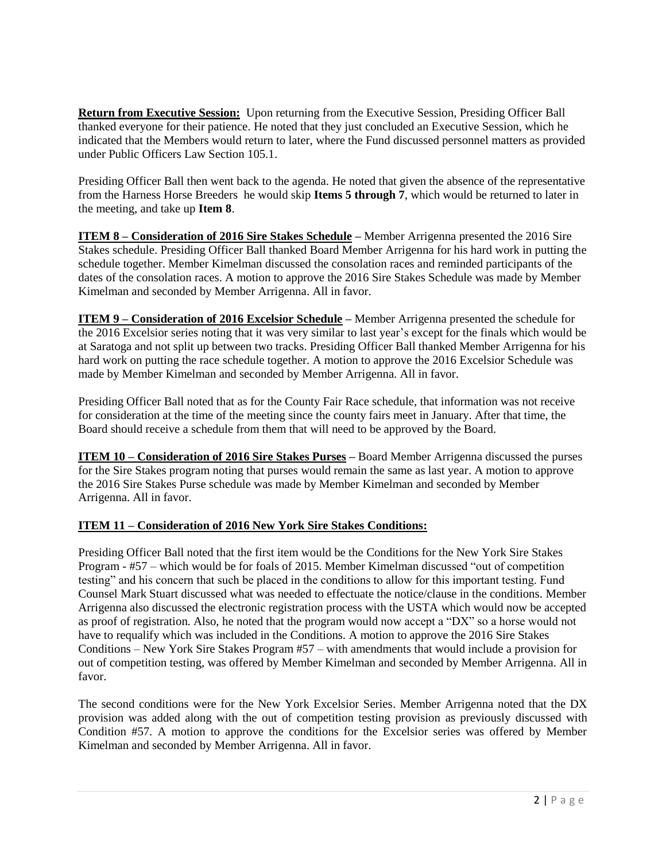**Return from Executive Session:** Upon returning from the Executive Session, Presiding Officer Ball thanked everyone for their patience. He noted that they just concluded an Executive Session, which he indicated that the Members would return to later, where the Fund discussed personnel matters as provided under Public Officers Law Section 105.1.

Presiding Officer Ball then went back to the agenda. He noted that given the absence of the representative from the Harness Horse Breeders he would skip **Items 5 through 7**, which would be returned to later in the meeting, and take up **Item 8**.

**ITEM 8 – Consideration of 2016 Sire Stakes Schedule –** Member Arrigenna presented the 2016 Sire Stakes schedule. Presiding Officer Ball thanked Board Member Arrigenna for his hard work in putting the schedule together. Member Kimelman discussed the consolation races and reminded participants of the dates of the consolation races. A motion to approve the 2016 Sire Stakes Schedule was made by Member Kimelman and seconded by Member Arrigenna. All in favor.

**ITEM 9 – Consideration of 2016 Excelsior Schedule –** Member Arrigenna presented the schedule for the 2016 Excelsior series noting that it was very similar to last year's except for the finals which would be at Saratoga and not split up between two tracks. Presiding Officer Ball thanked Member Arrigenna for his hard work on putting the race schedule together. A motion to approve the 2016 Excelsior Schedule was made by Member Kimelman and seconded by Member Arrigenna. All in favor.

Presiding Officer Ball noted that as for the County Fair Race schedule, that information was not receive for consideration at the time of the meeting since the county fairs meet in January. After that time, the Board should receive a schedule from them that will need to be approved by the Board.

**ITEM 10 – Consideration of 2016 Sire Stakes Purses –** Board Member Arrigenna discussed the purses for the Sire Stakes program noting that purses would remain the same as last year. A motion to approve the 2016 Sire Stakes Purse schedule was made by Member Kimelman and seconded by Member Arrigenna. All in favor.

# **ITEM 11 – Consideration of 2016 New York Sire Stakes Conditions:**

Presiding Officer Ball noted that the first item would be the Conditions for the New York Sire Stakes Program - #57 – which would be for foals of 2015. Member Kimelman discussed "out of competition testing" and his concern that such be placed in the conditions to allow for this important testing. Fund Counsel Mark Stuart discussed what was needed to effectuate the notice/clause in the conditions. Member Arrigenna also discussed the electronic registration process with the USTA which would now be accepted as proof of registration. Also, he noted that the program would now accept a "DX" so a horse would not have to requalify which was included in the Conditions. A motion to approve the 2016 Sire Stakes Conditions – New York Sire Stakes Program #57 – with amendments that would include a provision for out of competition testing, was offered by Member Kimelman and seconded by Member Arrigenna. All in favor.

The second conditions were for the New York Excelsior Series. Member Arrigenna noted that the DX provision was added along with the out of competition testing provision as previously discussed with Condition #57. A motion to approve the conditions for the Excelsior series was offered by Member Kimelman and seconded by Member Arrigenna. All in favor.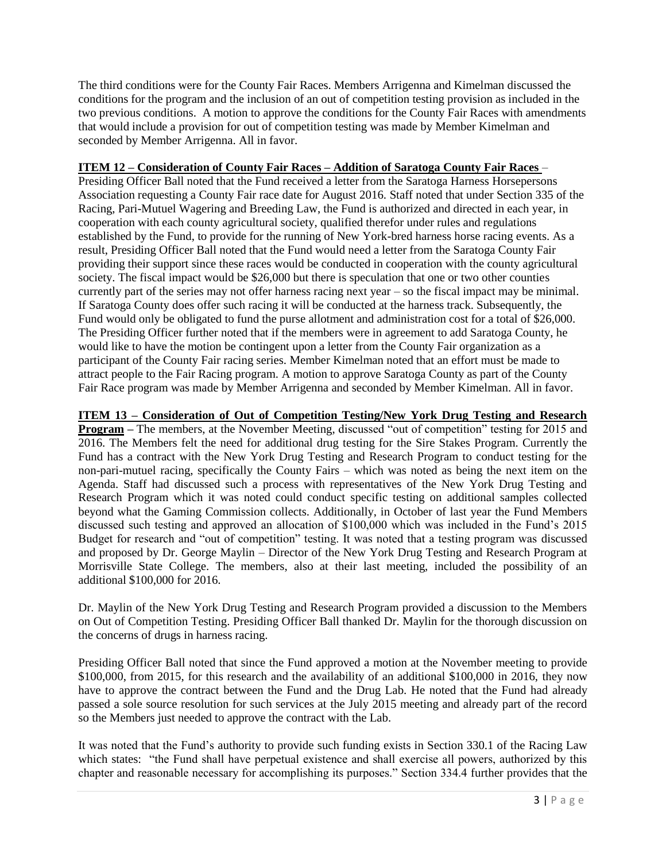The third conditions were for the County Fair Races. Members Arrigenna and Kimelman discussed the conditions for the program and the inclusion of an out of competition testing provision as included in the two previous conditions. A motion to approve the conditions for the County Fair Races with amendments that would include a provision for out of competition testing was made by Member Kimelman and seconded by Member Arrigenna. All in favor.

# **ITEM 12 – Consideration of County Fair Races – Addition of Saratoga County Fair Races** –

Presiding Officer Ball noted that the Fund received a letter from the Saratoga Harness Horsepersons Association requesting a County Fair race date for August 2016. Staff noted that under Section 335 of the Racing, Pari-Mutuel Wagering and Breeding Law, the Fund is authorized and directed in each year, in cooperation with each county agricultural society, qualified therefor under rules and regulations established by the Fund, to provide for the running of New York-bred harness horse racing events. As a result, Presiding Officer Ball noted that the Fund would need a letter from the Saratoga County Fair providing their support since these races would be conducted in cooperation with the county agricultural society. The fiscal impact would be \$26,000 but there is speculation that one or two other counties currently part of the series may not offer harness racing next year – so the fiscal impact may be minimal. If Saratoga County does offer such racing it will be conducted at the harness track. Subsequently, the Fund would only be obligated to fund the purse allotment and administration cost for a total of \$26,000. The Presiding Officer further noted that if the members were in agreement to add Saratoga County, he would like to have the motion be contingent upon a letter from the County Fair organization as a participant of the County Fair racing series. Member Kimelman noted that an effort must be made to attract people to the Fair Racing program. A motion to approve Saratoga County as part of the County Fair Race program was made by Member Arrigenna and seconded by Member Kimelman. All in favor.

## **ITEM 13 – Consideration of Out of Competition Testing/New York Drug Testing and Research**

**Program** – The members, at the November Meeting, discussed "out of competition" testing for 2015 and 2016. The Members felt the need for additional drug testing for the Sire Stakes Program. Currently the Fund has a contract with the New York Drug Testing and Research Program to conduct testing for the non-pari-mutuel racing, specifically the County Fairs – which was noted as being the next item on the Agenda. Staff had discussed such a process with representatives of the New York Drug Testing and Research Program which it was noted could conduct specific testing on additional samples collected beyond what the Gaming Commission collects. Additionally, in October of last year the Fund Members discussed such testing and approved an allocation of \$100,000 which was included in the Fund's 2015 Budget for research and "out of competition" testing. It was noted that a testing program was discussed and proposed by Dr. George Maylin – Director of the New York Drug Testing and Research Program at Morrisville State College. The members, also at their last meeting, included the possibility of an additional \$100,000 for 2016.

Dr. Maylin of the New York Drug Testing and Research Program provided a discussion to the Members on Out of Competition Testing. Presiding Officer Ball thanked Dr. Maylin for the thorough discussion on the concerns of drugs in harness racing.

Presiding Officer Ball noted that since the Fund approved a motion at the November meeting to provide \$100,000, from 2015, for this research and the availability of an additional \$100,000 in 2016, they now have to approve the contract between the Fund and the Drug Lab. He noted that the Fund had already passed a sole source resolution for such services at the July 2015 meeting and already part of the record so the Members just needed to approve the contract with the Lab.

It was noted that the Fund's authority to provide such funding exists in Section 330.1 of the Racing Law which states: "the Fund shall have perpetual existence and shall exercise all powers, authorized by this chapter and reasonable necessary for accomplishing its purposes." Section 334.4 further provides that the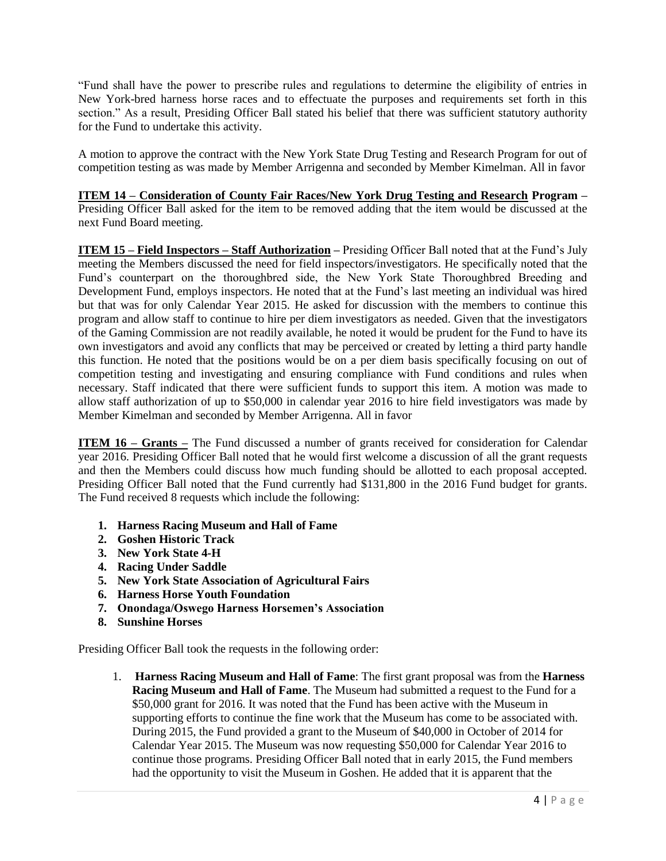"Fund shall have the power to prescribe rules and regulations to determine the eligibility of entries in New York-bred harness horse races and to effectuate the purposes and requirements set forth in this section." As a result, Presiding Officer Ball stated his belief that there was sufficient statutory authority for the Fund to undertake this activity.

A motion to approve the contract with the New York State Drug Testing and Research Program for out of competition testing as was made by Member Arrigenna and seconded by Member Kimelman. All in favor

**ITEM 14 – Consideration of County Fair Races/New York Drug Testing and Research Program –** Presiding Officer Ball asked for the item to be removed adding that the item would be discussed at the next Fund Board meeting.

**ITEM 15 – Field Inspectors – Staff Authorization –** Presiding Officer Ball noted that at the Fund's July meeting the Members discussed the need for field inspectors/investigators. He specifically noted that the Fund's counterpart on the thoroughbred side, the New York State Thoroughbred Breeding and Development Fund, employs inspectors. He noted that at the Fund's last meeting an individual was hired but that was for only Calendar Year 2015. He asked for discussion with the members to continue this program and allow staff to continue to hire per diem investigators as needed. Given that the investigators of the Gaming Commission are not readily available, he noted it would be prudent for the Fund to have its own investigators and avoid any conflicts that may be perceived or created by letting a third party handle this function. He noted that the positions would be on a per diem basis specifically focusing on out of competition testing and investigating and ensuring compliance with Fund conditions and rules when necessary. Staff indicated that there were sufficient funds to support this item. A motion was made to allow staff authorization of up to \$50,000 in calendar year 2016 to hire field investigators was made by Member Kimelman and seconded by Member Arrigenna. All in favor

**ITEM 16 – Grants** – The Fund discussed a number of grants received for consideration for Calendar year 2016. Presiding Officer Ball noted that he would first welcome a discussion of all the grant requests and then the Members could discuss how much funding should be allotted to each proposal accepted. Presiding Officer Ball noted that the Fund currently had \$131,800 in the 2016 Fund budget for grants. The Fund received 8 requests which include the following:

- **1. Harness Racing Museum and Hall of Fame**
- **2. Goshen Historic Track**
- **3. New York State 4-H**
- **4. Racing Under Saddle**
- **5. New York State Association of Agricultural Fairs**
- **6. Harness Horse Youth Foundation**
- **7. Onondaga/Oswego Harness Horsemen's Association**
- **8. Sunshine Horses**

Presiding Officer Ball took the requests in the following order:

1. **Harness Racing Museum and Hall of Fame**: The first grant proposal was from the **Harness Racing Museum and Hall of Fame**. The Museum had submitted a request to the Fund for a \$50,000 grant for 2016. It was noted that the Fund has been active with the Museum in supporting efforts to continue the fine work that the Museum has come to be associated with. During 2015, the Fund provided a grant to the Museum of \$40,000 in October of 2014 for Calendar Year 2015. The Museum was now requesting \$50,000 for Calendar Year 2016 to continue those programs. Presiding Officer Ball noted that in early 2015, the Fund members had the opportunity to visit the Museum in Goshen. He added that it is apparent that the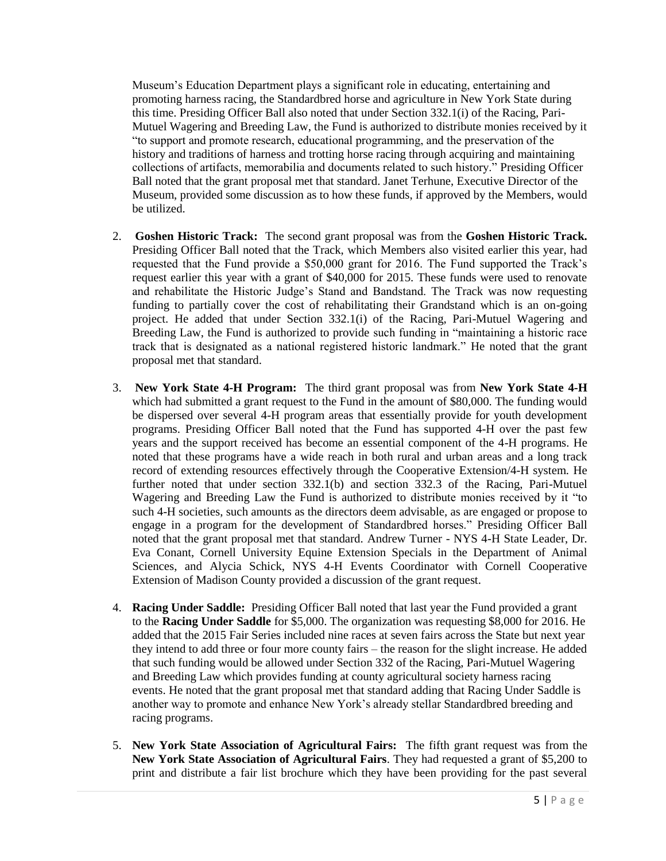Museum's Education Department plays a significant role in educating, entertaining and promoting harness racing, the Standardbred horse and agriculture in New York State during this time. Presiding Officer Ball also noted that under Section 332.1(i) of the Racing, Pari-Mutuel Wagering and Breeding Law, the Fund is authorized to distribute monies received by it "to support and promote research, educational programming, and the preservation of the history and traditions of harness and trotting horse racing through acquiring and maintaining collections of artifacts, memorabilia and documents related to such history." Presiding Officer Ball noted that the grant proposal met that standard. Janet Terhune, Executive Director of the Museum, provided some discussion as to how these funds, if approved by the Members, would be utilized.

- 2. **Goshen Historic Track:** The second grant proposal was from the **Goshen Historic Track.** Presiding Officer Ball noted that the Track, which Members also visited earlier this year, had requested that the Fund provide a \$50,000 grant for 2016. The Fund supported the Track's request earlier this year with a grant of \$40,000 for 2015. These funds were used to renovate and rehabilitate the Historic Judge's Stand and Bandstand. The Track was now requesting funding to partially cover the cost of rehabilitating their Grandstand which is an on-going project. He added that under Section 332.1(i) of the Racing, Pari-Mutuel Wagering and Breeding Law, the Fund is authorized to provide such funding in "maintaining a historic race track that is designated as a national registered historic landmark." He noted that the grant proposal met that standard.
- 3. **New York State 4-H Program:** The third grant proposal was from **New York State 4-H**  which had submitted a grant request to the Fund in the amount of \$80,000. The funding would be dispersed over several 4-H program areas that essentially provide for youth development programs. Presiding Officer Ball noted that the Fund has supported 4-H over the past few years and the support received has become an essential component of the 4-H programs. He noted that these programs have a wide reach in both rural and urban areas and a long track record of extending resources effectively through the Cooperative Extension/4-H system. He further noted that under section 332.1(b) and section 332.3 of the Racing, Pari-Mutuel Wagering and Breeding Law the Fund is authorized to distribute monies received by it "to such 4-H societies, such amounts as the directors deem advisable, as are engaged or propose to engage in a program for the development of Standardbred horses." Presiding Officer Ball noted that the grant proposal met that standard. Andrew Turner - NYS 4-H State Leader, Dr. Eva Conant, Cornell University Equine Extension Specials in the Department of Animal Sciences, and Alycia Schick, NYS 4-H Events Coordinator with Cornell Cooperative Extension of Madison County provided a discussion of the grant request.
- 4. **Racing Under Saddle:** Presiding Officer Ball noted that last year the Fund provided a grant to the **Racing Under Saddle** for \$5,000. The organization was requesting \$8,000 for 2016. He added that the 2015 Fair Series included nine races at seven fairs across the State but next year they intend to add three or four more county fairs – the reason for the slight increase. He added that such funding would be allowed under Section 332 of the Racing, Pari-Mutuel Wagering and Breeding Law which provides funding at county agricultural society harness racing events. He noted that the grant proposal met that standard adding that Racing Under Saddle is another way to promote and enhance New York's already stellar Standardbred breeding and racing programs.
- 5. **New York State Association of Agricultural Fairs:** The fifth grant request was from the **New York State Association of Agricultural Fairs**. They had requested a grant of \$5,200 to print and distribute a fair list brochure which they have been providing for the past several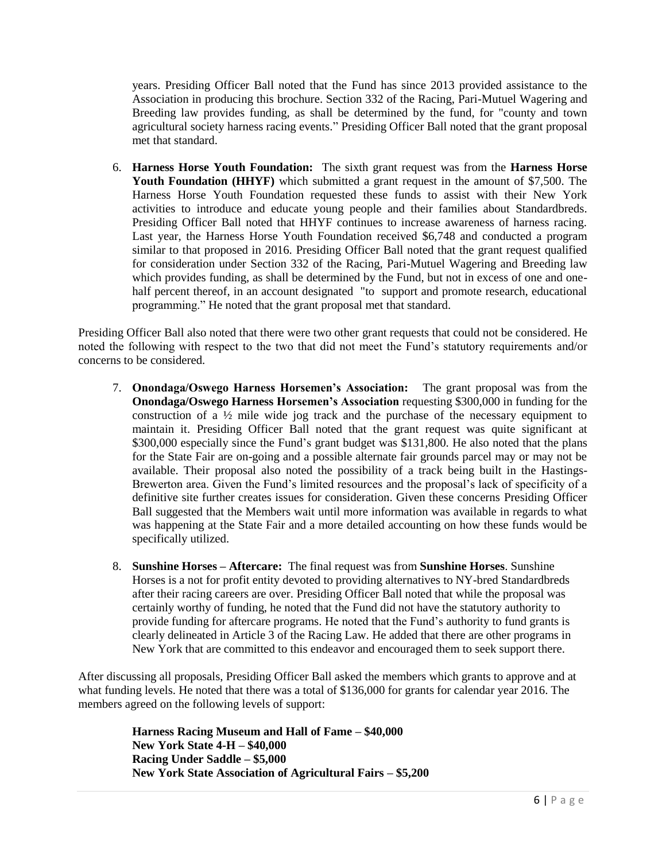years. Presiding Officer Ball noted that the Fund has since 2013 provided assistance to the Association in producing this brochure. Section 332 of the Racing, Pari-Mutuel Wagering and Breeding law provides funding, as shall be determined by the fund, for "county and town agricultural society harness racing events." Presiding Officer Ball noted that the grant proposal met that standard.

6. **Harness Horse Youth Foundation:** The sixth grant request was from the **Harness Horse Youth Foundation (HHYF)** which submitted a grant request in the amount of \$7,500. The Harness Horse Youth Foundation requested these funds to assist with their New York activities to introduce and educate young people and their families about Standardbreds. Presiding Officer Ball noted that HHYF continues to increase awareness of harness racing. Last year, the Harness Horse Youth Foundation received \$6,748 and conducted a program similar to that proposed in 2016. Presiding Officer Ball noted that the grant request qualified for consideration under Section 332 of the Racing, Pari-Mutuel Wagering and Breeding law which provides funding, as shall be determined by the Fund, but not in excess of one and onehalf percent thereof, in an account designated "to support and promote research, educational programming." He noted that the grant proposal met that standard.

Presiding Officer Ball also noted that there were two other grant requests that could not be considered. He noted the following with respect to the two that did not meet the Fund's statutory requirements and/or concerns to be considered.

- 7. **Onondaga/Oswego Harness Horsemen's Association:** The grant proposal was from the **Onondaga/Oswego Harness Horsemen's Association** requesting \$300,000 in funding for the construction of a ½ mile wide jog track and the purchase of the necessary equipment to maintain it. Presiding Officer Ball noted that the grant request was quite significant at \$300,000 especially since the Fund's grant budget was \$131,800. He also noted that the plans for the State Fair are on-going and a possible alternate fair grounds parcel may or may not be available. Their proposal also noted the possibility of a track being built in the Hastings-Brewerton area. Given the Fund's limited resources and the proposal's lack of specificity of a definitive site further creates issues for consideration. Given these concerns Presiding Officer Ball suggested that the Members wait until more information was available in regards to what was happening at the State Fair and a more detailed accounting on how these funds would be specifically utilized.
- 8. **Sunshine Horses – Aftercare:** The final request was from **Sunshine Horses**. Sunshine Horses is a not for profit entity devoted to providing alternatives to NY-bred Standardbreds after their racing careers are over. Presiding Officer Ball noted that while the proposal was certainly worthy of funding, he noted that the Fund did not have the statutory authority to provide funding for aftercare programs. He noted that the Fund's authority to fund grants is clearly delineated in Article 3 of the Racing Law. He added that there are other programs in New York that are committed to this endeavor and encouraged them to seek support there.

After discussing all proposals, Presiding Officer Ball asked the members which grants to approve and at what funding levels. He noted that there was a total of \$136,000 for grants for calendar year 2016. The members agreed on the following levels of support:

> **Harness Racing Museum and Hall of Fame – \$40,000 New York State 4-H – \$40,000 Racing Under Saddle – \$5,000 New York State Association of Agricultural Fairs – \$5,200**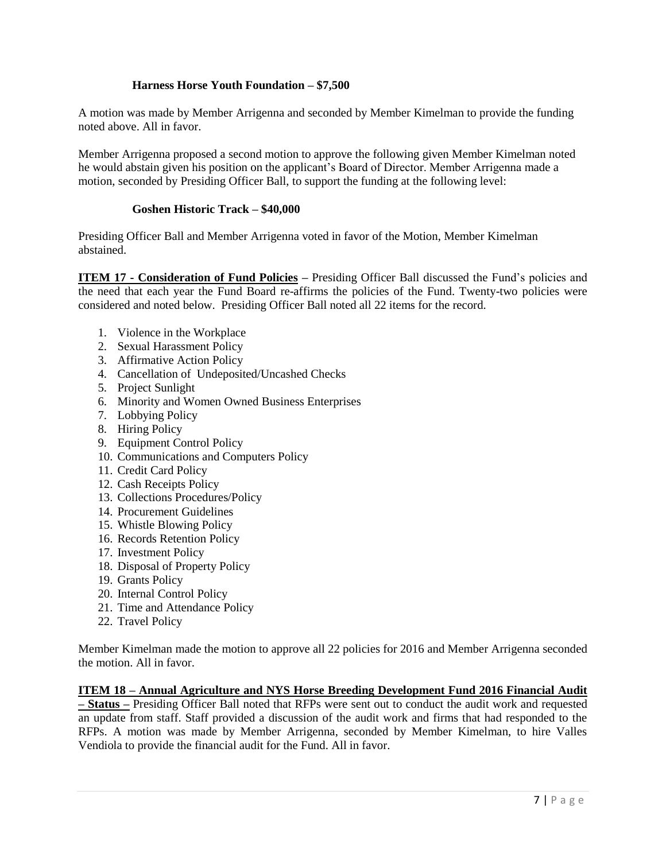## **Harness Horse Youth Foundation – \$7,500**

A motion was made by Member Arrigenna and seconded by Member Kimelman to provide the funding noted above. All in favor.

Member Arrigenna proposed a second motion to approve the following given Member Kimelman noted he would abstain given his position on the applicant's Board of Director. Member Arrigenna made a motion, seconded by Presiding Officer Ball, to support the funding at the following level:

### **Goshen Historic Track – \$40,000**

Presiding Officer Ball and Member Arrigenna voted in favor of the Motion, Member Kimelman abstained.

**ITEM 17 - Consideration of Fund Policies –** Presiding Officer Ball discussed the Fund's policies and the need that each year the Fund Board re-affirms the policies of the Fund. Twenty-two policies were considered and noted below. Presiding Officer Ball noted all 22 items for the record.

- 1. Violence in the Workplace
- 2. Sexual Harassment Policy
- 3. Affirmative Action Policy
- 4. Cancellation of Undeposited/Uncashed Checks
- 5. Project Sunlight
- 6. Minority and Women Owned Business Enterprises
- 7. Lobbying Policy
- 8. Hiring Policy
- 9. Equipment Control Policy
- 10. Communications and Computers Policy
- 11. Credit Card Policy
- 12. Cash Receipts Policy
- 13. Collections Procedures/Policy
- 14. Procurement Guidelines
- 15. Whistle Blowing Policy
- 16. Records Retention Policy
- 17. Investment Policy
- 18. Disposal of Property Policy
- 19. Grants Policy
- 20. Internal Control Policy
- 21. Time and Attendance Policy
- 22. Travel Policy

Member Kimelman made the motion to approve all 22 policies for 2016 and Member Arrigenna seconded the motion. All in favor.

# **ITEM 18 – Annual Agriculture and NYS Horse Breeding Development Fund 2016 Financial Audit**

**– Status –** Presiding Officer Ball noted that RFPs were sent out to conduct the audit work and requested an update from staff. Staff provided a discussion of the audit work and firms that had responded to the RFPs. A motion was made by Member Arrigenna, seconded by Member Kimelman, to hire Valles Vendiola to provide the financial audit for the Fund. All in favor.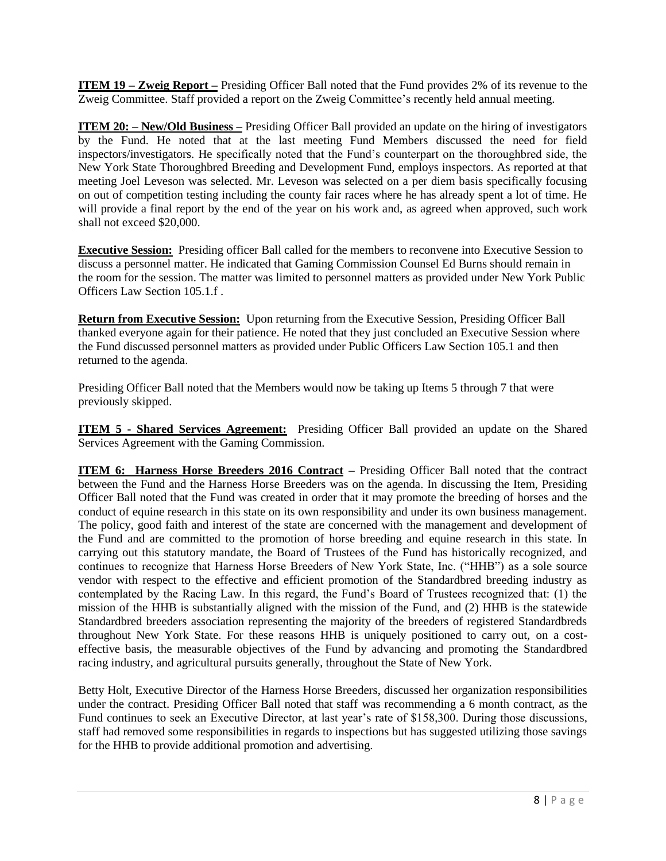**ITEM 19 – Zweig Report –** Presiding Officer Ball noted that the Fund provides 2% of its revenue to the Zweig Committee. Staff provided a report on the Zweig Committee's recently held annual meeting.

**ITEM 20: – New/Old Business –** Presiding Officer Ball provided an update on the hiring of investigators by the Fund. He noted that at the last meeting Fund Members discussed the need for field inspectors/investigators. He specifically noted that the Fund's counterpart on the thoroughbred side, the New York State Thoroughbred Breeding and Development Fund, employs inspectors. As reported at that meeting Joel Leveson was selected. Mr. Leveson was selected on a per diem basis specifically focusing on out of competition testing including the county fair races where he has already spent a lot of time. He will provide a final report by the end of the year on his work and, as agreed when approved, such work shall not exceed \$20,000.

**Executive Session:** Presiding officer Ball called for the members to reconvene into Executive Session to discuss a personnel matter. He indicated that Gaming Commission Counsel Ed Burns should remain in the room for the session. The matter was limited to personnel matters as provided under New York Public Officers Law Section 105.1.f .

**Return from Executive Session:** Upon returning from the Executive Session, Presiding Officer Ball thanked everyone again for their patience. He noted that they just concluded an Executive Session where the Fund discussed personnel matters as provided under Public Officers Law Section 105.1 and then returned to the agenda.

Presiding Officer Ball noted that the Members would now be taking up Items 5 through 7 that were previously skipped.

**ITEM 5 - Shared Services Agreement:** Presiding Officer Ball provided an update on the Shared Services Agreement with the Gaming Commission.

**ITEM 6: Harness Horse Breeders 2016 Contract** – Presiding Officer Ball noted that the contract between the Fund and the Harness Horse Breeders was on the agenda. In discussing the Item, Presiding Officer Ball noted that the Fund was created in order that it may promote the breeding of horses and the conduct of equine research in this state on its own responsibility and under its own business management. The policy, good faith and interest of the state are concerned with the management and development of the Fund and are committed to the promotion of horse breeding and equine research in this state. In carrying out this statutory mandate, the Board of Trustees of the Fund has historically recognized, and continues to recognize that Harness Horse Breeders of New York State, Inc. ("HHB") as a sole source vendor with respect to the effective and efficient promotion of the Standardbred breeding industry as contemplated by the Racing Law. In this regard, the Fund's Board of Trustees recognized that: (1) the mission of the HHB is substantially aligned with the mission of the Fund, and (2) HHB is the statewide Standardbred breeders association representing the majority of the breeders of registered Standardbreds throughout New York State. For these reasons HHB is uniquely positioned to carry out, on a costeffective basis, the measurable objectives of the Fund by advancing and promoting the Standardbred racing industry, and agricultural pursuits generally, throughout the State of New York.

Betty Holt, Executive Director of the Harness Horse Breeders, discussed her organization responsibilities under the contract. Presiding Officer Ball noted that staff was recommending a 6 month contract, as the Fund continues to seek an Executive Director, at last year's rate of \$158,300. During those discussions, staff had removed some responsibilities in regards to inspections but has suggested utilizing those savings for the HHB to provide additional promotion and advertising.